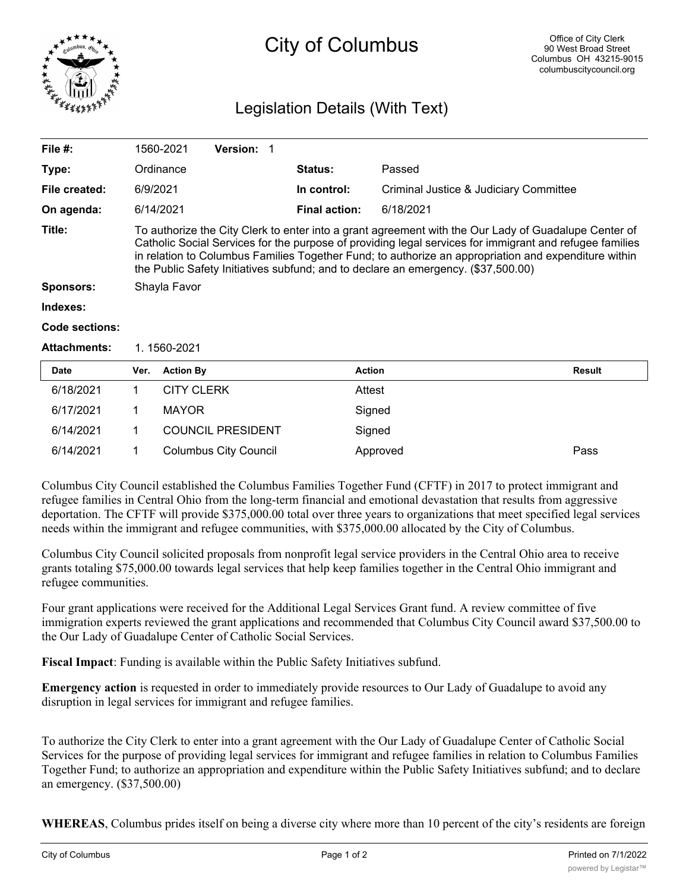

# City of Columbus

## Legislation Details (With Text)

| File #:               |                                                                                                                                                                                                                                                                                                                                                                                                              | 1560-2021         | <b>Version: 1</b> |             |                                        |           |        |  |
|-----------------------|--------------------------------------------------------------------------------------------------------------------------------------------------------------------------------------------------------------------------------------------------------------------------------------------------------------------------------------------------------------------------------------------------------------|-------------------|-------------------|-------------|----------------------------------------|-----------|--------|--|
| Type:                 |                                                                                                                                                                                                                                                                                                                                                                                                              | Ordinance         |                   |             | <b>Status:</b>                         | Passed    |        |  |
| File created:         |                                                                                                                                                                                                                                                                                                                                                                                                              | 6/9/2021          |                   | In control: | Criminal Justice & Judiciary Committee |           |        |  |
| On agenda:            |                                                                                                                                                                                                                                                                                                                                                                                                              | 6/14/2021         |                   |             | <b>Final action:</b>                   | 6/18/2021 |        |  |
| Title:                | To authorize the City Clerk to enter into a grant agreement with the Our Lady of Guadalupe Center of<br>Catholic Social Services for the purpose of providing legal services for immigrant and refugee families<br>in relation to Columbus Families Together Fund; to authorize an appropriation and expenditure within<br>the Public Safety Initiatives subfund; and to declare an emergency. (\$37,500.00) |                   |                   |             |                                        |           |        |  |
| Sponsors:             | Shayla Favor                                                                                                                                                                                                                                                                                                                                                                                                 |                   |                   |             |                                        |           |        |  |
| Indexes:              |                                                                                                                                                                                                                                                                                                                                                                                                              |                   |                   |             |                                        |           |        |  |
| <b>Code sections:</b> |                                                                                                                                                                                                                                                                                                                                                                                                              |                   |                   |             |                                        |           |        |  |
| <b>Attachments:</b>   | 1.1560-2021                                                                                                                                                                                                                                                                                                                                                                                                  |                   |                   |             |                                        |           |        |  |
| <b>Date</b>           | Ver.                                                                                                                                                                                                                                                                                                                                                                                                         | <b>Action By</b>  |                   |             | <b>Action</b>                          |           | Result |  |
| 6/18/2021             | 1                                                                                                                                                                                                                                                                                                                                                                                                            | <b>CITY CLERK</b> |                   |             | Attest                                 |           |        |  |
| 6/17/2021             |                                                                                                                                                                                                                                                                                                                                                                                                              | <b>MAYOR</b>      |                   |             | Signed                                 |           |        |  |

Columbus City Council established the Columbus Families Together Fund (CFTF) in 2017 to protect immigrant and refugee families in Central Ohio from the long-term financial and emotional devastation that results from aggressive deportation. The CFTF will provide \$375,000.00 total over three years to organizations that meet specified legal services needs within the immigrant and refugee communities, with \$375,000.00 allocated by the City of Columbus.

6/14/2021 1 Columbus City Council Approved Pass

Columbus City Council solicited proposals from nonprofit legal service providers in the Central Ohio area to receive grants totaling \$75,000.00 towards legal services that help keep families together in the Central Ohio immigrant and refugee communities.

Four grant applications were received for the Additional Legal Services Grant fund. A review committee of five immigration experts reviewed the grant applications and recommended that Columbus City Council award \$37,500.00 to the Our Lady of Guadalupe Center of Catholic Social Services.

**Fiscal Impact**: Funding is available within the Public Safety Initiatives subfund.

6/14/2021 1 COUNCIL PRESIDENT Signed

**Emergency action** is requested in order to immediately provide resources to Our Lady of Guadalupe to avoid any disruption in legal services for immigrant and refugee families.

To authorize the City Clerk to enter into a grant agreement with the Our Lady of Guadalupe Center of Catholic Social Services for the purpose of providing legal services for immigrant and refugee families in relation to Columbus Families Together Fund; to authorize an appropriation and expenditure within the Public Safety Initiatives subfund; and to declare an emergency. (\$37,500.00)

**WHEREAS**, Columbus prides itself on being a diverse city where more than 10 percent of the city's residents are foreign